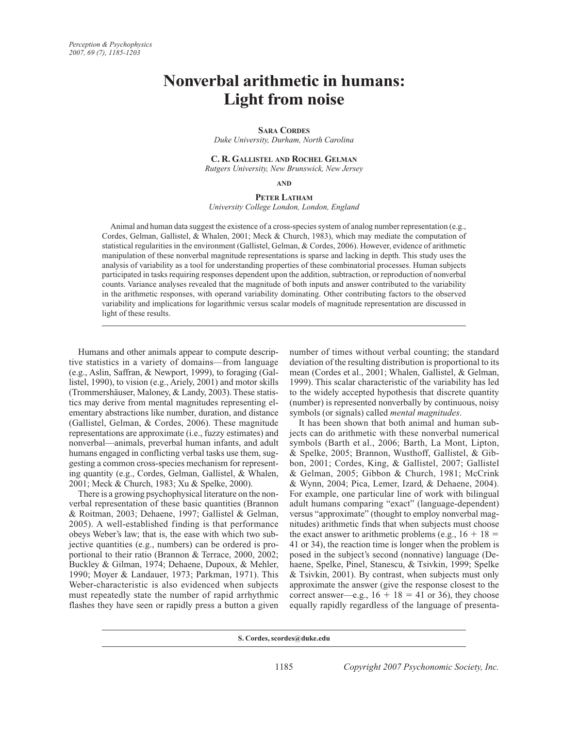# **Nonverbal arithmetic in humans: Light from noise**

## **SARA CORDES**

*Duke University, Durham, North Carolina*

# **C. R. GALLISTEL AND ROCHEL GELMAN**

*Rutgers University, New Brunswick, New Jersey*

**AND**

## **PETER LATHAM** *University College London, London, England*

Animal and human data suggest the existence of a cross-species system of analog number representation (e.g., Cordes, Gelman, Gallistel, & Whalen, 2001; Meck & Church, 1983), which may mediate the computation of statistical regularities in the environment (Gallistel, Gelman, & Cordes, 2006). However, evidence of arithmetic manipulation of these nonverbal magnitude representations is sparse and lacking in depth. This study uses the analysis of variability as a tool for understanding properties of these combinatorial processes. Human subjects participated in tasks requiring responses dependent upon the addition, subtraction, or reproduction of nonverbal counts. Variance analyses revealed that the magnitude of both inputs and answer contributed to the variability in the arithmetic responses, with operand variability dominating. Other contributing factors to the observed variability and implications for logarithmic versus scalar models of magnitude representation are discussed in light of these results.

Humans and other animals appear to compute descriptive statistics in a variety of domains—from language (e.g., Aslin, Saffran, & Newport, 1999), to foraging (Gallistel, 1990), to vision (e.g., Ariely, 2001) and motor skills (Trommershäuser, Maloney, & Landy, 2003). These statistics may derive from mental magnitudes representing elementary abstractions like number, duration, and distance (Gallistel, Gelman, & Cordes, 2006). These magnitude representations are approximate (i.e., fuzzy estimates) and nonverbal—animals, preverbal human infants, and adult humans engaged in conflicting verbal tasks use them, suggesting a common cross-species mechanism for representing quantity (e.g., Cordes, Gelman, Gallistel, & Whalen, 2001; Meck & Church, 1983; Xu & Spelke, 2000).

There is a growing psychophysical literature on the nonverbal representation of these basic quantities (Brannon & Roitman, 2003; Dehaene, 1997; Gallistel & Gelman, 2005). A well-established finding is that performance obeys Weber's law; that is, the ease with which two subjective quantities (e.g., numbers) can be ordered is proportional to their ratio (Brannon & Terrace, 2000, 2002; Buckley & Gilman, 1974; Dehaene, Dupoux, & Mehler, 1990; Moyer & Landauer, 1973; Parkman, 1971). This Weber-characteristic is also evidenced when subjects must repeatedly state the number of rapid arrhythmic flashes they have seen or rapidly press a button a given number of times without verbal counting; the standard deviation of the resulting distribution is proportional to its mean (Cordes et al., 2001; Whalen, Gallistel, & Gelman, 1999). This scalar characteristic of the variability has led to the widely accepted hypothesis that discrete quantity (number) is represented nonverbally by continuous, noisy symbols (or signals) called *mental magnitudes*.

It has been shown that both animal and human subjects can do arithmetic with these nonverbal numerical symbols (Barth et al., 2006; Barth, La Mont, Lipton, & Spelke, 2005; Brannon, Wusthoff, Gallistel, & Gibbon, 2001; Cordes, King, & Gallistel, 2007; Gallistel & Gelman, 2005; Gibbon & Church, 1981; McCrink & Wynn, 2004; Pica, Lemer, Izard, & Dehaene, 2004). For example, one particular line of work with bilingual adult humans comparing "exact" (language-dependent) versus "approximate" (thought to employ nonverbal magnitudes) arithmetic finds that when subjects must choose the exact answer to arithmetic problems (e.g.,  $16 + 18 =$ 41 or 34), the reaction time is longer when the problem is posed in the subject's second (nonnative) language (Dehaene, Spelke, Pinel, Stanescu, & Tsivkin, 1999; Spelke & Tsivkin, 2001). By contrast, when subjects must only approximate the answer (give the response closest to the correct answer—e.g.,  $16 + 18 = 41$  or 36), they choose equally rapidly regardless of the language of presenta-

| S. Cordes, scordes@duke.edu |
|-----------------------------|
|                             |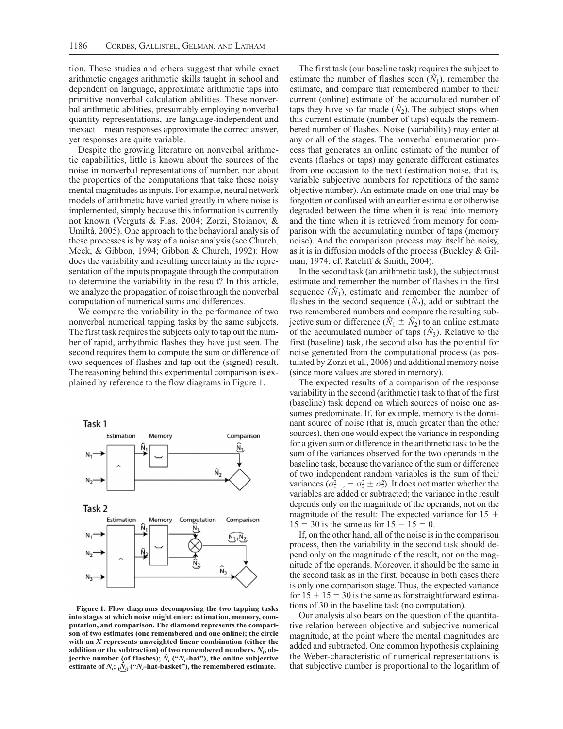tion. These studies and others suggest that while exact arithmetic engages arithmetic skills taught in school and dependent on language, approximate arithmetic taps into primitive nonverbal calculation abilities. These nonverbal arithmetic abilities, presumably employing nonverbal quantity representations, are language-independent and inexact—mean responses approximate the correct answer, yet responses are quite variable.

Despite the growing literature on nonverbal arithmetic capabilities, little is known about the sources of the noise in nonverbal representations of number, nor about the properties of the computations that take these noisy mental magnitudes as inputs. For example, neural network models of arithmetic have varied greatly in where noise is implemented, simply because this information is currently not known (Verguts & Fias, 2004; Zorzi, Stoianov, & Umiltà, 2005). One approach to the behavioral analysis of these processes is by way of a noise analysis (see Church, Meck, & Gibbon, 1994; Gibbon & Church, 1992): How does the variability and resulting uncertainty in the representation of the inputs propagate through the computation to determine the variability in the result? In this article, we analyze the propagation of noise through the nonverbal computation of numerical sums and differences.

We compare the variability in the performance of two nonverbal numerical tapping tasks by the same subjects. The first task requires the subjects only to tap out the number of rapid, arrhythmic flashes they have just seen. The second requires them to compute the sum or difference of two sequences of flashes and tap out the (signed) result. The reasoning behind this experimental comparison is explained by reference to the flow diagrams in Figure 1.



**Figure 1. Flow diagrams decomposing the two tapping tasks into stages at which noise might enter: estimation, memory, computation, and comparison. The diamond represents the comparison of two estimates (one remembered and one online); the circle with an** *X* **represents unweighted linear combination (either the**  addition or the subtraction) of two remembered numbers.  $N_i$ , ob**jective number (of flashes);**  $\hat{N}_i$  (" $N_i$ -hat"), the online subjective **estimate of**  $N_i$ **;**  $\hat{N}_j$  (" $N_i$ -hat-basket"), the remembered estimate.

The first task (our baseline task) requires the subject to estimate the number of flashes seen  $(N_1)$ , remember the estimate, and compare that remembered number to their current (online) estimate of the accumulated number of taps they have so far made  $(N_2)$ . The subject stops when this current estimate (number of taps) equals the remembered number of flashes. Noise (variability) may enter at any or all of the stages. The nonverbal enumeration process that generates an online estimate of the number of events (flashes or taps) may generate different estimates from one occasion to the next (estimation noise, that is, variable subjective numbers for repetitions of the same objective number). An estimate made on one trial may be forgotten or confused with an earlier estimate or otherwise degraded between the time when it is read into memory and the time when it is retrieved from memory for comparison with the accumulating number of taps (memory noise). And the comparison process may itself be noisy, as it is in diffusion models of the process (Buckley & Gilman, 1974; cf. Ratcliff & Smith, 2004).

In the second task (an arithmetic task), the subject must estimate and remember the number of flashes in the first sequence  $(N_1)$ , estimate and remember the number of flashes in the second sequence  $(N_2)$ , add or subtract the two remembered numbers and compare the resulting subjective sum or difference ( $\hat{N}_1 \pm \hat{N}_2$ ) to an online estimate of the accumulated number of taps  $(N_3)$ . Relative to the first (baseline) task, the second also has the potential for noise generated from the computational process (as postulated by Zorzi et al., 2006) and additional memory noise (since more values are stored in memory).

The expected results of a comparison of the response variability in the second (arithmetic) task to that of the first (baseline) task depend on which sources of noise one assumes predominate. If, for example, memory is the dominant source of noise (that is, much greater than the other sources), then one would expect the variance in responding for a given sum or difference in the arithmetic task to be the sum of the variances observed for the two operands in the baseline task, because the variance of the sum or difference of two independent random variables is the sum of their variances ( $\sigma_{x \pm y}^2 = \sigma_x^2 \pm \sigma_y^2$ ). It does not matter whether the variables are added or subtracted; the variance in the result depends only on the magnitude of the operands, not on the magnitude of the result: The expected variance for  $15 +$  $15 = 30$  is the same as for  $15 - 15 = 0$ .

If, on the other hand, all of the noise is in the comparison process, then the variability in the second task should depend only on the magnitude of the result, not on the magnitude of the operands. Moreover, it should be the same in the second task as in the first, because in both cases there is only one comparison stage. Thus, the expected variance for  $15 + 15 = 30$  is the same as for straightforward estimations of 30 in the baseline task (no computation).

Our analysis also bears on the question of the quantitative relation between objective and subjective numerical magnitude, at the point where the mental magnitudes are added and subtracted. One common hypothesis explaining the Weber-characteristic of numerical representations is that subjective number is proportional to the logarithm of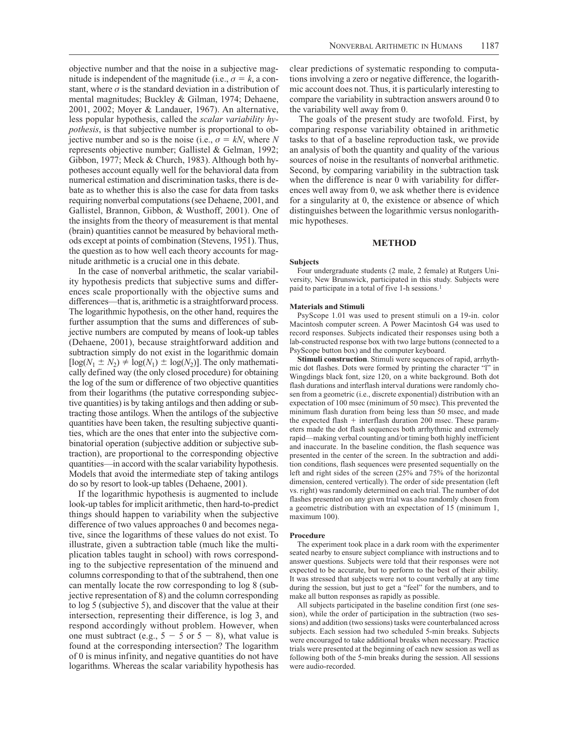objective number and that the noise in a subjective magnitude is independent of the magnitude (i.e.,  $\sigma = k$ , a constant, where  $\sigma$  is the standard deviation in a distribution of mental magnitudes; Buckley & Gilman, 1974; Dehaene, 2001, 2002; Moyer & Landauer, 1967). An alternative, less popular hypothesis, called the *scalar variability hypothesis*, is that subjective number is proportional to objective number and so is the noise (i.e.,  $\sigma = kN$ , where *N* represents objective number; Gallistel & Gelman, 1992; Gibbon, 1977; Meck & Church, 1983). Although both hypotheses account equally well for the behavioral data from numerical estimation and discrimination tasks, there is debate as to whether this is also the case for data from tasks requiring nonverbal computations (see Dehaene, 2001, and Gallistel, Brannon, Gibbon, & Wusthoff, 2001). One of the insights from the theory of measurement is that mental (brain) quantities cannot be measured by behavioral methods except at points of combination (Stevens, 1951). Thus, the question as to how well each theory accounts for magnitude arithmetic is a crucial one in this debate.

In the case of nonverbal arithmetic, the scalar variability hypothesis predicts that subjective sums and differences scale proportionally with the objective sums and differences—that is, arithmetic is a straightforward process. The logarithmic hypothesis, on the other hand, requires the further assumption that the sums and differences of subjective numbers are computed by means of look-up tables (Dehaene, 2001), because straightforward addition and subtraction simply do not exist in the logarithmic domain  $[\log(N_1 \pm N_2) \neq \log(N_1) \pm \log(N_2)]$ . The only mathematically defined way (the only closed procedure) for obtaining the log of the sum or difference of two objective quantities from their logarithms (the putative corresponding subjective quantities) is by taking antilogs and then adding or subtracting those antilogs. When the antilogs of the subjective quantities have been taken, the resulting subjective quantities, which are the ones that enter into the subjective combinatorial operation (subjective addition or subjective subtraction), are proportional to the corresponding objective quantities—in accord with the scalar variability hypothesis. Models that avoid the intermediate step of taking antilogs do so by resort to look-up tables (Dehaene, 2001).

If the logarithmic hypothesis is augmented to include look-up tables for implicit arithmetic, then hard-to-predict things should happen to variability when the subjective difference of two values approaches 0 and becomes negative, since the logarithms of these values do not exist. To illustrate, given a subtraction table (much like the multiplication tables taught in school) with rows corresponding to the subjective representation of the minuend and columns corresponding to that of the subtrahend, then one can mentally locate the row corresponding to log 8 (subjective representation of 8) and the column corresponding to log 5 (subjective 5), and discover that the value at their intersection, representing their difference, is log 3, and respond accordingly without problem. However, when one must subtract (e.g.,  $5 - 5$  or  $5 - 8$ ), what value is found at the corresponding intersection? The logarithm of 0 is minus infinity, and negative quantities do not have logarithms. Whereas the scalar variability hypothesis has clear predictions of systematic responding to computations involving a zero or negative difference, the logarithmic account does not. Thus, it is particularly interesting to compare the variability in subtraction answers around 0 to the variability well away from 0.

The goals of the present study are twofold. First, by comparing response variability obtained in arithmetic tasks to that of a baseline reproduction task, we provide an analysis of both the quantity and quality of the various sources of noise in the resultants of nonverbal arithmetic. Second, by comparing variability in the subtraction task when the difference is near 0 with variability for differences well away from 0, we ask whether there is evidence for a singularity at 0, the existence or absence of which distinguishes between the logarithmic versus nonlogarithmic hypotheses.

## **METHOD**

#### **Subjects**

Four undergraduate students (2 male, 2 female) at Rutgers University, New Brunswick, participated in this study. Subjects were paid to participate in a total of five 1-h sessions.1

#### **Materials and Stimuli**

PsyScope 1.01 was used to present stimuli on a 19-in. color Macintosh computer screen. A Power Macintosh G4 was used to record responses. Subjects indicated their responses using both a lab-constructed response box with two large buttons (connected to a PsyScope button box) and the computer keyboard.

**Stimuli construction**. Stimuli were sequences of rapid, arrhythmic dot flashes. Dots were formed by printing the character "l" in Wingdings black font, size 120, on a white background. Both dot flash durations and interflash interval durations were randomly chosen from a geometric (i.e., discrete exponential) distribution with an expectation of 100 msec (minimum of 50 msec). This prevented the minimum flash duration from being less than 50 msec, and made the expected flash  $+$  interflash duration 200 msec. These parameters made the dot flash sequences both arrhythmic and extremely rapid—making verbal counting and/or timing both highly inefficient and inaccurate. In the baseline condition, the flash sequence was presented in the center of the screen. In the subtraction and addition conditions, flash sequences were presented sequentially on the left and right sides of the screen (25% and 75% of the horizontal dimension, centered vertically). The order of side presentation (left vs. right) was randomly determined on each trial. The number of dot flashes presented on any given trial was also randomly chosen from a geometric distribution with an expectation of 15 (minimum 1, maximum 100).

## **Procedure**

The experiment took place in a dark room with the experimenter seated nearby to ensure subject compliance with instructions and to answer questions. Subjects were told that their responses were not expected to be accurate, but to perform to the best of their ability. It was stressed that subjects were not to count verbally at any time during the session, but just to get a "feel" for the numbers, and to make all button responses as rapidly as possible.

All subjects participated in the baseline condition first (one session), while the order of participation in the subtraction (two sessions) and addition (two sessions) tasks were counterbalanced across subjects. Each session had two scheduled 5-min breaks. Subjects were encouraged to take additional breaks when necessary. Practice trials were presented at the beginning of each new session as well as following both of the 5-min breaks during the session. All sessions were audio-recorded.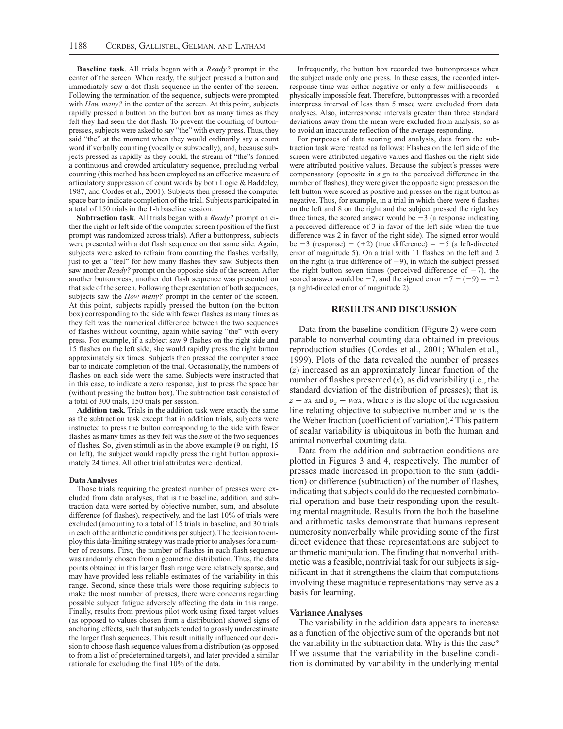**Baseline task**. All trials began with a *Ready?* prompt in the center of the screen. When ready, the subject pressed a button and immediately saw a dot flash sequence in the center of the screen. Following the termination of the sequence, subjects were prompted with *How many?* in the center of the screen. At this point, subjects rapidly pressed a button on the button box as many times as they felt they had seen the dot flash. To prevent the counting of buttonpresses, subjects were asked to say "the" with every press. Thus, they said "the" at the moment when they would ordinarily say a count word if verbally counting (vocally or subvocally), and, because subjects pressed as rapidly as they could, the stream of "the"s formed a continuous and crowded articulatory sequence, precluding verbal counting (this method has been employed as an effective measure of articulatory suppression of count words by both Logie & Baddeley, 1987, and Cordes et al., 2001). Subjects then pressed the computer space bar to indicate completion of the trial. Subjects participated in a total of 150 trials in the 1-h baseline session.

**Subtraction task**. All trials began with a *Ready?* prompt on either the right or left side of the computer screen (position of the first prompt was randomized across trials). After a buttonpress, subjects were presented with a dot flash sequence on that same side. Again, subjects were asked to refrain from counting the flashes verbally, just to get a "feel" for how many flashes they saw. Subjects then saw another *Ready?* prompt on the opposite side of the screen. After another buttonpress, another dot flash sequence was presented on that side of the screen. Following the presentation of both sequences, subjects saw the *How many?* prompt in the center of the screen. At this point, subjects rapidly pressed the button (on the button box) corresponding to the side with fewer flashes as many times as they felt was the numerical difference between the two sequences of flashes without counting, again while saying "the" with every press. For example, if a subject saw 9 flashes on the right side and 15 flashes on the left side, she would rapidly press the right button approximately six times. Subjects then pressed the computer space bar to indicate completion of the trial. Occasionally, the numbers of flashes on each side were the same. Subjects were instructed that in this case, to indicate a zero response, just to press the space bar (without pressing the button box). The subtraction task consisted of a total of 300 trials, 150 trials per session.

**Addition task**. Trials in the addition task were exactly the same as the subtraction task except that in addition trials, subjects were instructed to press the button corresponding to the side with fewer flashes as many times as they felt was the *sum* of the two sequences of flashes. So, given stimuli as in the above example (9 on right, 15 on left), the subject would rapidly press the right button approximately 24 times. All other trial attributes were identical.

#### **Data Analyses**

Those trials requiring the greatest number of presses were excluded from data analyses; that is the baseline, addition, and subtraction data were sorted by objective number, sum, and absolute difference (of flashes), respectively, and the last 10% of trials were excluded (amounting to a total of 15 trials in baseline, and 30 trials in each of the arithmetic conditions per subject). The decision to employ this data-limiting strategy was made prior to analyses for a number of reasons. First, the number of flashes in each flash sequence was randomly chosen from a geometric distribution. Thus, the data points obtained in this larger flash range were relatively sparse, and may have provided less reliable estimates of the variability in this range. Second, since these trials were those requiring subjects to make the most number of presses, there were concerns regarding possible subject fatigue adversely affecting the data in this range. Finally, results from previous pilot work using fixed target values (as opposed to values chosen from a distribution) showed signs of anchoring effects, such that subjects tended to grossly underestimate the larger flash sequences. This result initially influenced our decision to choose flash sequence values from a distribution (as opposed to from a list of predetermined targets), and later provided a similar rationale for excluding the final 10% of the data.

Infrequently, the button box recorded two buttonpresses when the subject made only one press. In these cases, the recorded interresponse time was either negative or only a few milliseconds—a physically impossible feat. Therefore, buttonpresses with a recorded interpress interval of less than 5 msec were excluded from data analyses. Also, interresponse intervals greater than three standard deviations away from the mean were excluded from analysis, so as to avoid an inaccurate reflection of the average responding.

For purposes of data scoring and analysis, data from the subtraction task were treated as follows: Flashes on the left side of the screen were attributed negative values and flashes on the right side were attributed positive values. Because the subject's presses were compensatory (opposite in sign to the perceived difference in the number of flashes), they were given the opposite sign: presses on the left button were scored as positive and presses on the right button as negative. Thus, for example, in a trial in which there were 6 flashes on the left and 8 on the right and the subject pressed the right key three times, the scored answer would be  $-3$  (a response indicating a perceived difference of 3 in favor of the left side when the true difference was 2 in favor of the right side). The signed error would be  $-3$  (response)  $- (+2)$  (true difference)  $= -5$  (a left-directed error of magnitude 5). On a trial with 11 flashes on the left and 2 on the right (a true difference of  $-9$ ), in which the subject pressed the right button seven times (perceived difference of  $-7$ ), the scored answer would be  $-7$ , and the signed error  $-7 - (-9) = +2$ (a right-directed error of magnitude 2).

# **RESULTS AND DISCUSSION**

Data from the baseline condition (Figure 2) were comparable to nonverbal counting data obtained in previous reproduction studies (Cordes et al., 2001; Whalen et al., 1999). Plots of the data revealed the number of presses (*z*) increased as an approximately linear function of the number of flashes presented  $(x)$ , as did variability (i.e., the standard deviation of the distribution of presses); that is,  $z = sx$  and  $\sigma_z = wsx$ , where *s* is the slope of the regression line relating objective to subjective number and *w* is the the Weber fraction (coefficient of variation).2 This pattern of scalar variability is ubiquitous in both the human and animal nonverbal counting data.

Data from the addition and subtraction conditions are plotted in Figures 3 and 4, respectively. The number of presses made increased in proportion to the sum (addition) or difference (subtraction) of the number of flashes, indicating that subjects could do the requested combinatorial operation and base their responding upon the resulting mental magnitude. Results from the both the baseline and arithmetic tasks demonstrate that humans represent numerosity nonverbally while providing some of the first direct evidence that these representations are subject to arithmetic manipulation. The finding that nonverbal arithmetic was a feasible, nontrivial task for our subjects is significant in that it strengthens the claim that computations involving these magnitude representations may serve as a basis for learning.

# **Variance Analyses**

The variability in the addition data appears to increase as a function of the objective sum of the operands but not the variability in the subtraction data. Why is this the case? If we assume that the variability in the baseline condition is dominated by variability in the underlying mental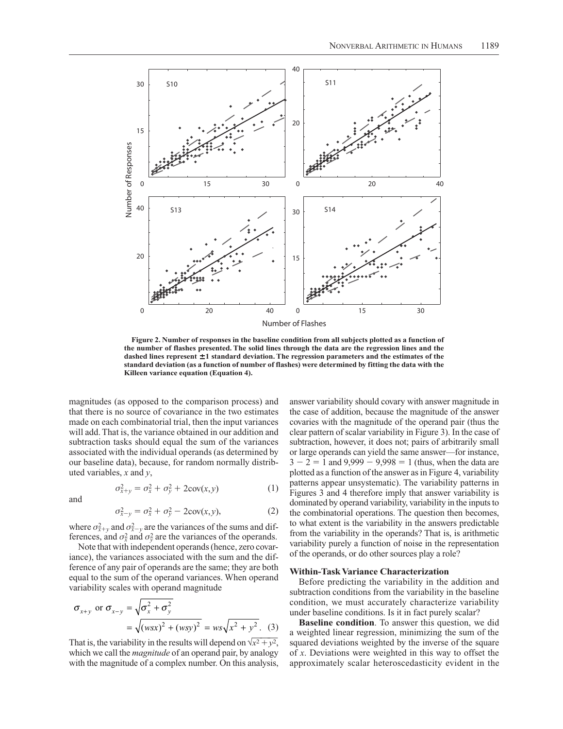

**Figure 2. Number of responses in the baseline condition from all subjects plotted as a function of the number of flashes presented. The solid lines through the data are the regression lines and the dashed lines represent 1 standard deviation. The regression parameters and the estimates of the standard deviation (as a function of number of flashes) were determined by fitting the data with the Killeen variance equation (Equation 4).**

magnitudes (as opposed to the comparison process) and that there is no source of covariance in the two estimates made on each combinatorial trial, then the input variances will add. That is, the variance obtained in our addition and subtraction tasks should equal the sum of the variances associated with the individual operands (as determined by our baseline data), because, for random normally distributed variables, *x* and *y*,

$$
\sigma_{x+y}^2 = \sigma_x^2 + \sigma_y^2 + 2\text{cov}(x, y) \tag{1}
$$

and

$$
\sigma_{x-y}^2 = \sigma_x^2 + \sigma_y^2 - 2\text{cov}(x, y),
$$
 (2)

where  $\sigma_{x+y}^2$  and  $\sigma_{x-y}^2$  are the variances of the sums and differences, and  $\sigma_x^2$  and  $\sigma_y^2$  are the variances of the operands.

Note that with independent operands (hence, zero covariance), the variances associated with the sum and the difference of any pair of operands are the same; they are both equal to the sum of the operand variances. When operand variability scales with operand magnitude

$$
\sigma_{x+y}
$$
 or  $\sigma_{x-y} = \sqrt{\sigma_x^2 + \sigma_y^2}$   
=  $\sqrt{(wsx)^2 + (wsy)^2} = ws\sqrt{x^2 + y^2}$ . (3)

That is, the variability in the results will depend on  $\sqrt{x^2 + y^2}$ , which we call the *magnitude* of an operand pair, by analogy with the magnitude of a complex number. On this analysis,

answer variability should covary with answer magnitude in the case of addition, because the magnitude of the answer covaries with the magnitude of the operand pair (thus the clear pattern of scalar variability in Figure 3). In the case of subtraction, however, it does not; pairs of arbitrarily small or large operands can yield the same answer—for instance,  $3 - 2 = 1$  and 9,999  $- 9,998 = 1$  (thus, when the data are plotted as a function of the answer as in Figure 4, variability patterns appear unsystematic). The variability patterns in Figures 3 and 4 therefore imply that answer variability is dominated by operand variability, variability in the inputs to the combinatorial operations. The question then becomes, to what extent is the variability in the answers predictable from the variability in the operands? That is, is arithmetic variability purely a function of noise in the representation of the operands, or do other sources play a role?

## **Within-Task Variance Characterization**

Before predicting the variability in the addition and subtraction conditions from the variability in the baseline condition, we must accurately characterize variability under baseline conditions. Is it in fact purely scalar?

**Baseline condition**. To answer this question, we did a weighted linear regression, minimizing the sum of the squared deviations weighted by the inverse of the square of *x*. Deviations were weighted in this way to offset the approximately scalar heteroscedasticity evident in the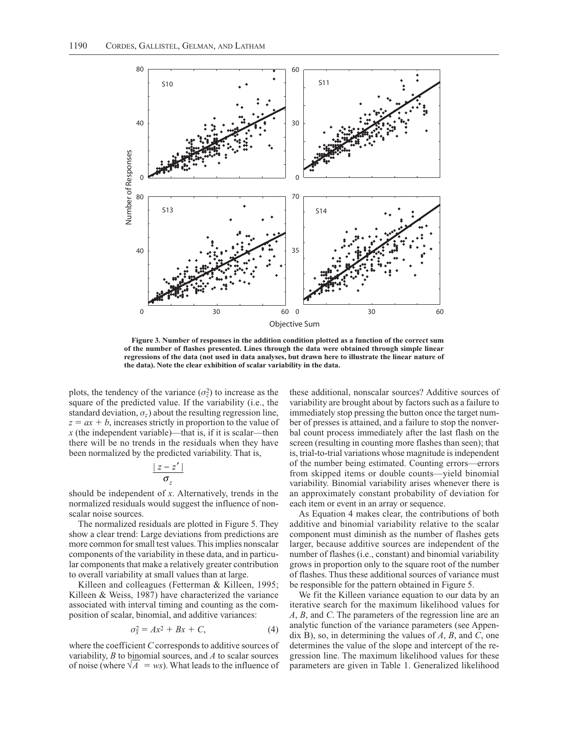

**Figure 3. Number of responses in the addition condition plotted as a function of the correct sum of the number of flashes presented. Lines through the data were obtained through simple linear regressions of the data (not used in data analyses, but drawn here to illustrate the linear nature of the data). Note the clear exhibition of scalar variability in the data.**

plots, the tendency of the variance  $(\sigma_z^2)$  to increase as the square of the predicted value. If the variability (i.e., the standard deviation,  $\sigma_z$ ) about the resulting regression line,  $z = ax + b$ , increases strictly in proportion to the value of *x* (the independent variable)—that is, if it is scalar—then there will be no trends in the residuals when they have been normalized by the predicted variability. That is,

$$
\frac{|z-z'|}{\sigma_z}
$$

should be independent of *x*. Alternatively, trends in the normalized residuals would suggest the influence of nonscalar noise sources.

The normalized residuals are plotted in Figure 5. They show a clear trend: Large deviations from predictions are more common for small test values. This implies nonscalar components of the variability in these data, and in particular components that make a relatively greater contribution to overall variability at small values than at large.

Killeen and colleagues (Fetterman & Killeen, 1995; Killeen & Weiss, 1987) have characterized the variance associated with interval timing and counting as the composition of scalar, binomial, and additive variances:

$$
\sigma_x^2 = Ax^2 + Bx + C,\tag{4}
$$

where the coefficient *C* corresponds to additive sources of variability, *B* to binomial sources, and *A* to scalar sources variability, *B* to bifid that sources, and *A* to scalar sources<br>of noise (where  $\sqrt{A} = ws$ ). What leads to the influence of these additional, nonscalar sources? Additive sources of variability are brought about by factors such as a failure to immediately stop pressing the button once the target number of presses is attained, and a failure to stop the nonverbal count process immediately after the last flash on the screen (resulting in counting more flashes than seen); that is, trial-to-trial variations whose magnitude is independent of the number being estimated. Counting errors—errors from skipped items or double counts—yield binomial variability. Binomial variability arises whenever there is an approximately constant probability of deviation for each item or event in an array or sequence.

As Equation 4 makes clear, the contributions of both additive and binomial variability relative to the scalar component must diminish as the number of flashes gets larger, because additive sources are independent of the number of flashes (i.e., constant) and binomial variability grows in proportion only to the square root of the number of flashes. Thus these additional sources of variance must be responsible for the pattern obtained in Figure 5.

We fit the Killeen variance equation to our data by an iterative search for the maximum likelihood values for *A*, *B*, and *C*. The parameters of the regression line are an analytic function of the variance parameters (see Appendix B), so, in determining the values of *A*, *B*, and *C*, one determines the value of the slope and intercept of the regression line. The maximum likelihood values for these parameters are given in Table 1. Generalized likelihood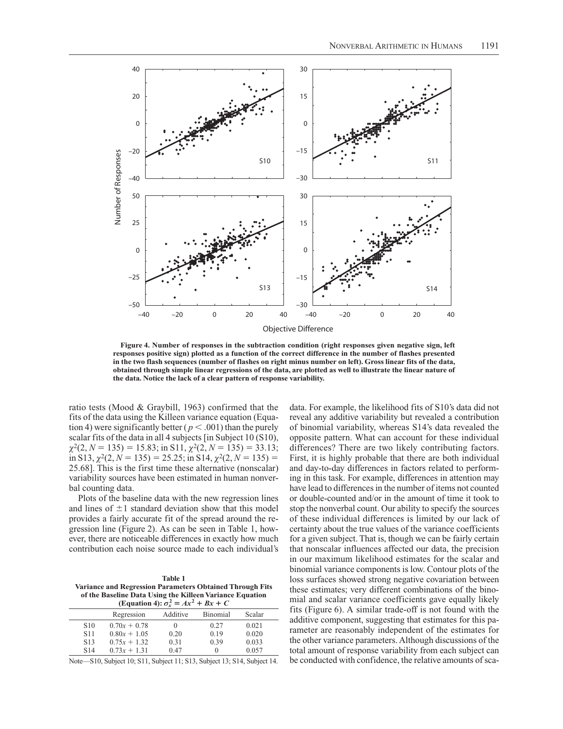

**Figure 4. Number of responses in the subtraction condition (right responses given negative sign, left responses positive sign) plotted as a function of the correct difference in the number of flashes presented in the two flash sequences (number of flashes on right minus number on left). Gross linear fits of the data, obtained through simple linear regressions of the data, are plotted as well to illustrate the linear nature of the data. Notice the lack of a clear pattern of response variability.**

ratio tests (Mood & Graybill, 1963) confirmed that the fits of the data using the Killeen variance equation (Equation 4) were significantly better ( $p < .001$ ) than the purely scalar fits of the data in all 4 subjects [in Subject 10 (S10),  $\chi^2(2, N = 135) = 15.83$ ; in S11,  $\chi^2(2, N = 135) = 33.13$ ; in S13,  $\chi^2(2, N = 135) = 25.25$ ; in S14,  $\chi^2(2, N = 135) =$ 25.68]. This is the first time these alternative (nonscalar) variability sources have been estimated in human nonverbal counting data.

Plots of the baseline data with the new regression lines and lines of  $\pm 1$  standard deviation show that this model provides a fairly accurate fit of the spread around the regression line (Figure 2). As can be seen in Table 1, however, there are noticeable differences in exactly how much contribution each noise source made to each individual's

**Table 1 Variance and Regression Parameters Obtained Through Fits of the Baseline Data Using the Killeen Variance Equation**   $a_x^2 = Ax^2 + Bx + C$ 

| (Equation 4): $\sigma_{y}^{2} = Ax^{2} + Bx + C$ |                |          |          |        |  |  |  |  |
|--------------------------------------------------|----------------|----------|----------|--------|--|--|--|--|
|                                                  | Regression     | Additive | Binomial | Scalar |  |  |  |  |
| S <sub>10</sub>                                  | $0.70x + 0.78$ | 0        | 0.27     | 0.021  |  |  |  |  |
| S <sub>11</sub>                                  | $0.80x + 1.05$ | 0.20     | 0.19     | 0.020  |  |  |  |  |
| S <sub>13</sub>                                  | $0.75x + 1.32$ | 0.31     | 0.39     | 0.033  |  |  |  |  |
| S <sub>14</sub>                                  | $0.73x + 1.31$ | 0.47     | $\Omega$ | 0.057  |  |  |  |  |

Note—S10, Subject 10; S11, Subject 11; S13, Subject 13; S14, Subject 14.

data. For example, the likelihood fits of S10's data did not reveal any additive variability but revealed a contribution of binomial variability, whereas S14's data revealed the opposite pattern. What can account for these individual differences? There are two likely contributing factors. First, it is highly probable that there are both individual and day-to-day differences in factors related to performing in this task. For example, differences in attention may have lead to differences in the number of items not counted or double-counted and/or in the amount of time it took to stop the nonverbal count. Our ability to specify the sources of these individual differences is limited by our lack of certainty about the true values of the variance coefficients for a given subject. That is, though we can be fairly certain that nonscalar influences affected our data, the precision in our maximum likelihood estimates for the scalar and binomial variance components is low. Contour plots of the loss surfaces showed strong negative covariation between these estimates; very different combinations of the binomial and scalar variance coefficients gave equally likely fits (Figure 6). A similar trade-off is not found with the additive component, suggesting that estimates for this parameter are reasonably independent of the estimates for the other variance parameters. Although discussions of the total amount of response variability from each subject can be conducted with confidence, the relative amounts of sca-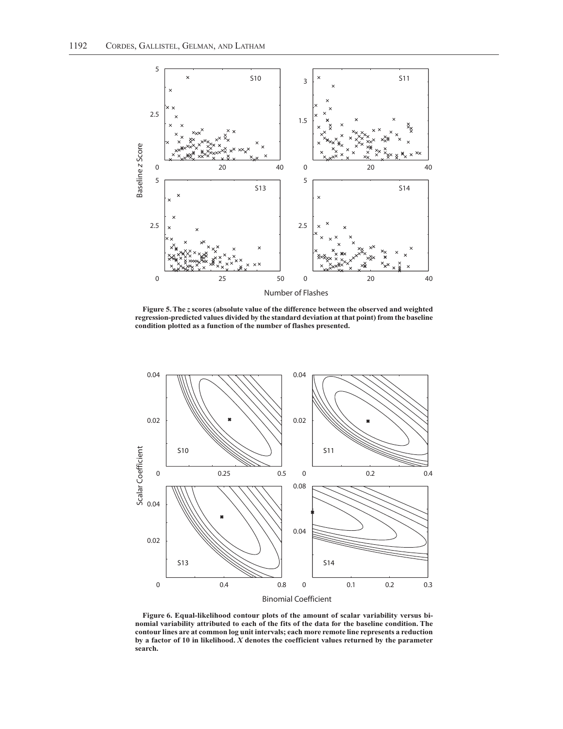

**Figure 5. The** *z* **scores (absolute value of the difference between the observed and weighted regression-predicted values divided by the standard deviation at that point) from the baseline condition plotted as a function of the number of flashes presented.**



**Figure 6. Equal-likelihood contour plots of the amount of scalar variability versus binomial variability attributed to each of the fits of the data for the baseline condition. The contour lines are at common log unit intervals; each more remote line represents a reduction by a factor of 10 in likelihood.** *X* **denotes the coefficient values returned by the parameter search.**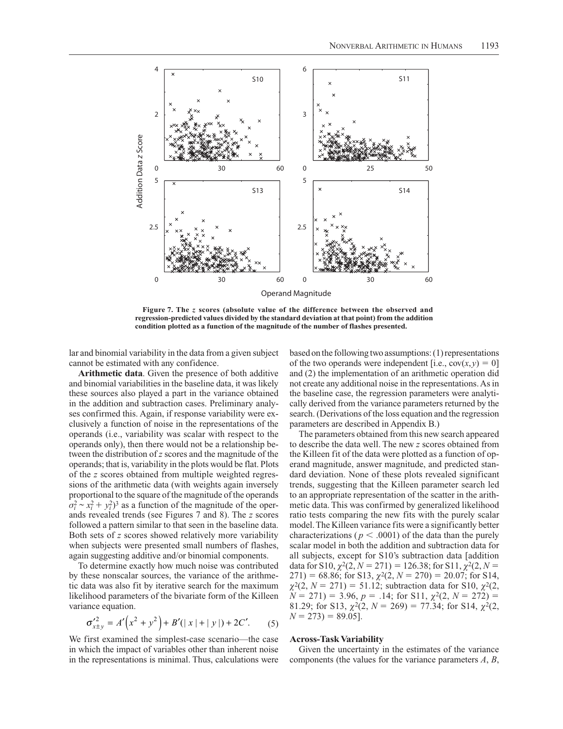

**Figure 7. The** *z* **scores (absolute value of the difference between the observed and regression-predicted values divided by the standard deviation at that point) from the addition condition plotted as a function of the magnitude of the number of flashes presented.**

lar and binomial variability in the data from a given subject cannot be estimated with any confidence.

**Arithmetic data**. Given the presence of both additive and binomial variabilities in the baseline data, it was likely these sources also played a part in the variance obtained in the addition and subtraction cases. Preliminary analyses confirmed this. Again, if response variability were exclusively a function of noise in the representations of the operands (i.e., variability was scalar with respect to the operands only), then there would not be a relationship between the distribution of *z* scores and the magnitude of the operands; that is, variability in the plots would be flat. Plots of the *z* scores obtained from multiple weighted regressions of the arithmetic data (with weights again inversely proportional to the square of the magnitude of the operands  $\sigma_i^2 \sim x_i^2 + y_i^2$ <sup>3</sup> as a function of the magnitude of the operands revealed trends (see Figures 7 and 8). The *z* scores followed a pattern similar to that seen in the baseline data. Both sets of *z* scores showed relatively more variability when subjects were presented small numbers of flashes, again suggesting additive and/or binomial components.

To determine exactly how much noise was contributed by these nonscalar sources, the variance of the arithmetic data was also fit by iterative search for the maximum likelihood parameters of the bivariate form of the Killeen variance equation.

$$
\sigma_{x\pm y}^{\prime 2} = A'(x^2 + y^2) + B'(|x| + |y|) + 2C'. \tag{5}
$$

We first examined the simplest-case scenario—the case in which the impact of variables other than inherent noise in the representations is minimal. Thus, calculations were based on the following two assumptions: (1) representations of the two operands were independent [i.e.,  $cov(x, y) = 0$ ] and (2) the implementation of an arithmetic operation did not create any additional noise in the representations. As in the baseline case, the regression parameters were analytically derived from the variance parameters returned by the search. (Derivations of the loss equation and the regression parameters are described in Appendix B.)

The parameters obtained from this new search appeared to describe the data well. The new *z* scores obtained from the Killeen fit of the data were plotted as a function of operand magnitude, answer magnitude, and predicted standard deviation. None of these plots revealed significant trends, suggesting that the Killeen parameter search led to an appropriate representation of the scatter in the arithmetic data. This was confirmed by generalized likelihood ratio tests comparing the new fits with the purely scalar model. The Killeen variance fits were a significantly better characterizations ( $p < .0001$ ) of the data than the purely scalar model in both the addition and subtraction data for all subjects, except for S10's subtraction data [addition data for S10,  $\chi^2(2, N = 271) = 126.38$ ; for S11,  $\chi^2(2, N = 126.38)$  $271$ ) = 68.86; for S13,  $\chi^2(2, N = 270) = 20.07$ ; for S14,  $\chi^2(2, N = 271) = 51.12$ ; subtraction data for S10,  $\chi^2(2, N = 271)$  $N = 271$ ) = 3.96,  $p = .14$ ; for S11,  $\chi^2(2, N = 272)$  = 81.29; for S13,  $\chi^2(2, N = 269) = 77.34$ ; for S14,  $\chi^2(2, N = 269)$  $N = 273$ ) = 89.05].

## **Across-Task Variability**

Given the uncertainty in the estimates of the variance components (the values for the variance parameters *A*, *B*,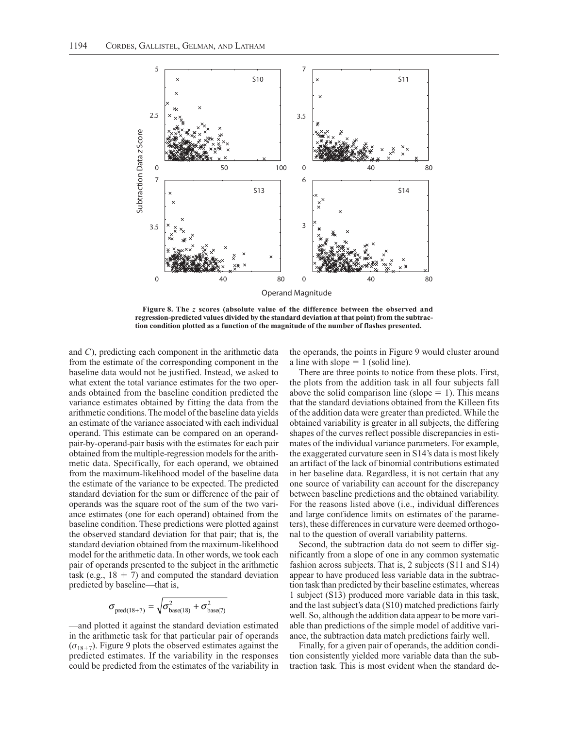

**Figure 8. The** *z* **scores (absolute value of the difference between the observed and regression-predicted values divided by the standard deviation at that point) from the subtraction condition plotted as a function of the magnitude of the number of flashes presented.**

and *C*), predicting each component in the arithmetic data from the estimate of the corresponding component in the baseline data would not be justified. Instead, we asked to what extent the total variance estimates for the two operands obtained from the baseline condition predicted the variance estimates obtained by fitting the data from the arithmetic conditions. The model of the baseline data yields an estimate of the variance associated with each individual operand. This estimate can be compared on an operandpair-by-operand-pair basis with the estimates for each pair obtained from the multiple-regression models for the arithmetic data. Specifically, for each operand, we obtained from the maximum-likelihood model of the baseline data the estimate of the variance to be expected. The predicted standard deviation for the sum or difference of the pair of operands was the square root of the sum of the two variance estimates (one for each operand) obtained from the baseline condition. These predictions were plotted against the observed standard deviation for that pair; that is, the standard deviation obtained from the maximum-likelihood model for the arithmetic data. In other words, we took each pair of operands presented to the subject in the arithmetic task (e.g.,  $18 + 7$ ) and computed the standard deviation predicted by baseline—that is,

$$
\sigma_{\text{pred}(18+7)} = \sqrt{\sigma_{\text{base}(18)}^2 + \sigma_{\text{base}(7)}^2}
$$

—and plotted it against the standard deviation estimated in the arithmetic task for that particular pair of operands  $(\sigma_{18+7})$ . Figure 9 plots the observed estimates against the predicted estimates. If the variability in the responses could be predicted from the estimates of the variability in the operands, the points in Figure 9 would cluster around a line with slope  $= 1$  (solid line).

There are three points to notice from these plots. First, the plots from the addition task in all four subjects fall above the solid comparison line (slope  $= 1$ ). This means that the standard deviations obtained from the Killeen fits of the addition data were greater than predicted. While the obtained variability is greater in all subjects, the differing shapes of the curves reflect possible discrepancies in estimates of the individual variance parameters. For example, the exaggerated curvature seen in S14's data is most likely an artifact of the lack of binomial contributions estimated in her baseline data. Regardless, it is not certain that any one source of variability can account for the discrepancy between baseline predictions and the obtained variability. For the reasons listed above (i.e., individual differences and large confidence limits on estimates of the parameters), these differences in curvature were deemed orthogonal to the question of overall variability patterns.

Second, the subtraction data do not seem to differ significantly from a slope of one in any common systematic fashion across subjects. That is, 2 subjects (S11 and S14) appear to have produced less variable data in the subtraction task than predicted by their baseline estimates, whereas 1 subject (S13) produced more variable data in this task, and the last subject's data (S10) matched predictions fairly well. So, although the addition data appear to be more variable than predictions of the simple model of additive variance, the subtraction data match predictions fairly well.

Finally, for a given pair of operands, the addition condition consistently yielded more variable data than the subtraction task. This is most evident when the standard de-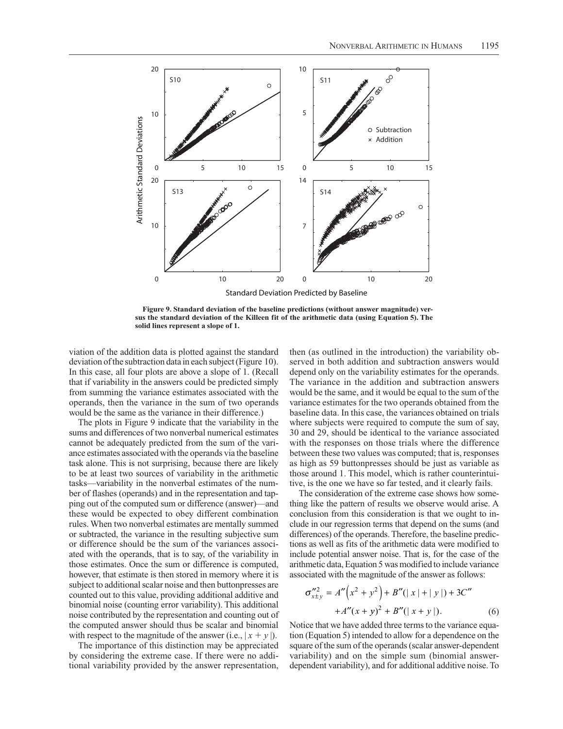

**Figure 9. Standard deviation of the baseline predictions (without answer magnitude) versus the standard deviation of the Killeen fit of the arithmetic data (using Equation 5). The solid lines represent a slope of 1.**

viation of the addition data is plotted against the standard deviation of the subtraction data in each subject (Figure 10). In this case, all four plots are above a slope of 1. (Recall that if variability in the answers could be predicted simply from summing the variance estimates associated with the operands, then the variance in the sum of two operands would be the same as the variance in their difference.)

The plots in Figure 9 indicate that the variability in the sums and differences of two nonverbal numerical estimates cannot be adequately predicted from the sum of the variance estimates associated with the operands via the baseline task alone. This is not surprising, because there are likely to be at least two sources of variability in the arithmetic tasks—variability in the nonverbal estimates of the number of flashes (operands) and in the representation and tapping out of the computed sum or difference (answer)—and these would be expected to obey different combination rules. When two nonverbal estimates are mentally summed or subtracted, the variance in the resulting subjective sum or difference should be the sum of the variances associated with the operands, that is to say, of the variability in those estimates. Once the sum or difference is computed, however, that estimate is then stored in memory where it is subject to additional scalar noise and then buttonpresses are counted out to this value, providing additional additive and binomial noise (counting error variability). This additional noise contributed by the representation and counting out of the computed answer should thus be scalar and binomial with respect to the magnitude of the answer (i.e.,  $|x + y|$ ).

The importance of this distinction may be appreciated by considering the extreme case. If there were no additional variability provided by the answer representation, then (as outlined in the introduction) the variability observed in both addition and subtraction answers would depend only on the variability estimates for the operands. The variance in the addition and subtraction answers would be the same, and it would be equal to the sum of the variance estimates for the two operands obtained from the baseline data. In this case, the variances obtained on trials where subjects were required to compute the sum of say, 30 and 29, should be identical to the variance associated with the responses on those trials where the difference between these two values was computed; that is, responses as high as 59 buttonpresses should be just as variable as those around 1. This model, which is rather counterintuitive, is the one we have so far tested, and it clearly fails.

The consideration of the extreme case shows how something like the pattern of results we observe would arise. A conclusion from this consideration is that we ought to include in our regression terms that depend on the sums (and differences) of the operands. Therefore, the baseline predictions as well as fits of the arithmetic data were modified to include potential answer noise. That is, for the case of the arithmetic data, Equation 5 was modified to include variance associated with the magnitude of the answer as follows:

$$
\sigma_{x\pm y}^{"2} = A''(x^2 + y^2) + B''(|x| + |y|) + 3C''
$$
  
+A''(x + y)<sup>2</sup> + B''(|x + y|). (6)

Notice that we have added three terms to the variance equation (Equation 5) intended to allow for a dependence on the square of the sum of the operands (scalar answer-dependent variability) and on the simple sum (binomial answerdependent variability), and for additional additive noise. To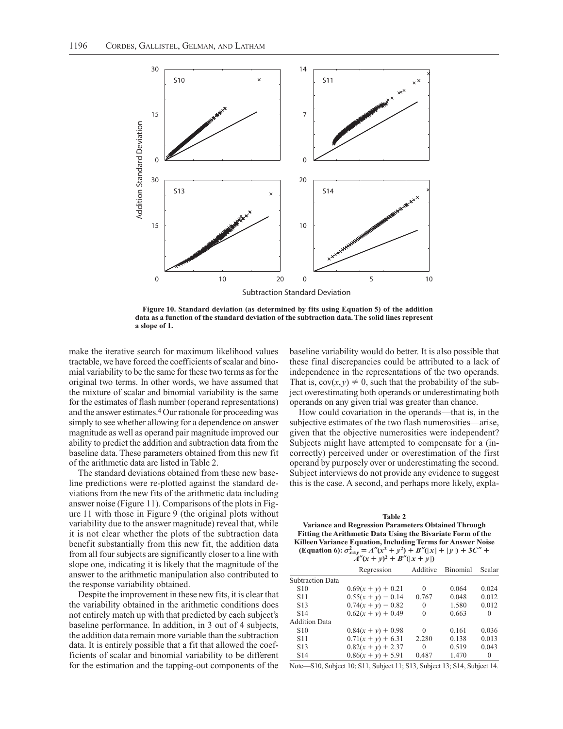

**Figure 10. Standard deviation (as determined by fits using Equation 5) of the addition data as a function of the standard deviation of the subtraction data. The solid lines represent a slope of 1.**

make the iterative search for maximum likelihood values tractable, we have forced the coefficients of scalar and binomial variability to be the same for these two terms as for the original two terms. In other words, we have assumed that the mixture of scalar and binomial variability is the same for the estimates of flash number (operand representations) and the answer estimates.4 Our rationale for proceeding was simply to see whether allowing for a dependence on answer magnitude as well as operand pair magnitude improved our ability to predict the addition and subtraction data from the baseline data. These parameters obtained from this new fit of the arithmetic data are listed in Table 2.

The standard deviations obtained from these new baseline predictions were re-plotted against the standard deviations from the new fits of the arithmetic data including answer noise (Figure 11). Comparisons of the plots in Figure 11 with those in Figure 9 (the original plots without variability due to the answer magnitude) reveal that, while it is not clear whether the plots of the subtraction data benefit substantially from this new fit, the addition data from all four subjects are significantly closer to a line with slope one, indicating it is likely that the magnitude of the answer to the arithmetic manipulation also contributed to the response variability obtained.

Despite the improvement in these new fits, it is clear that the variability obtained in the arithmetic conditions does not entirely match up with that predicted by each subject's baseline performance. In addition, in 3 out of 4 subjects, the addition data remain more variable than the subtraction data. It is entirely possible that a fit that allowed the coefficients of scalar and binomial variability to be different for the estimation and the tapping-out components of the baseline variability would do better. It is also possible that these final discrepancies could be attributed to a lack of independence in the representations of the two operands. That is,  $cov(x, y) \neq 0$ , such that the probability of the subject overestimating both operands or underestimating both operands on any given trial was greater than chance.

How could covariation in the operands—that is, in the subjective estimates of the two flash numerosities—arise, given that the objective numerosities were independent? Subjects might have attempted to compensate for a (incorrectly) perceived under or overestimation of the first operand by purposely over or underestimating the second. Subject interviews do not provide any evidence to suggest this is the case. A second, and perhaps more likely, expla-

| Table 2                                                                      |  |  |  |  |  |
|------------------------------------------------------------------------------|--|--|--|--|--|
| <b>Variance and Regression Parameters Obtained Through</b>                   |  |  |  |  |  |
| Fitting the Arithmetic Data Using the Bivariate Form of the                  |  |  |  |  |  |
| Killeen Variance Equation, Including Terms for Answer Noise                  |  |  |  |  |  |
| (Equation 6): $\sigma_{x\pm y}^2 = A''(x^2 + y^2) + B''( x  +  y ) + 3C'' +$ |  |  |  |  |  |
| $A''(x+y)^2 + B''( x+y )$                                                    |  |  |  |  |  |

|                         | Regression           | Additive | Binomial | Scalar   |
|-------------------------|----------------------|----------|----------|----------|
| <b>Subtraction Data</b> |                      |          |          |          |
| S <sub>10</sub>         | $0.69(x + y) + 0.21$ | $\Omega$ | 0.064    | 0.024    |
| S <sub>11</sub>         | $0.55(x + y) - 0.14$ | 0.767    | 0.048    | 0.012    |
| S <sub>13</sub>         | $0.74(x + y) - 0.82$ | $\theta$ | 1.580    | 0.012    |
| S <sub>14</sub>         | $0.62(x + y) + 0.49$ | $\theta$ | 0.663    | $\Omega$ |
| <b>Addition Data</b>    |                      |          |          |          |
| S <sub>10</sub>         | $0.84(x + y) + 0.98$ | $\Omega$ | 0.161    | 0.036    |
| S <sub>11</sub>         | $0.71(x + y) + 6.31$ | 2.280    | 0.138    | 0.013    |
| S <sub>13</sub>         | $0.82(x + y) + 2.37$ | $\theta$ | 0.519    | 0.043    |
| S <sub>14</sub>         | $0.86(x + y) + 5.91$ | 0.487    | 1.470    | $\theta$ |

Note—S10, Subject 10; S11, Subject 11; S13, Subject 13; S14, Subject 14.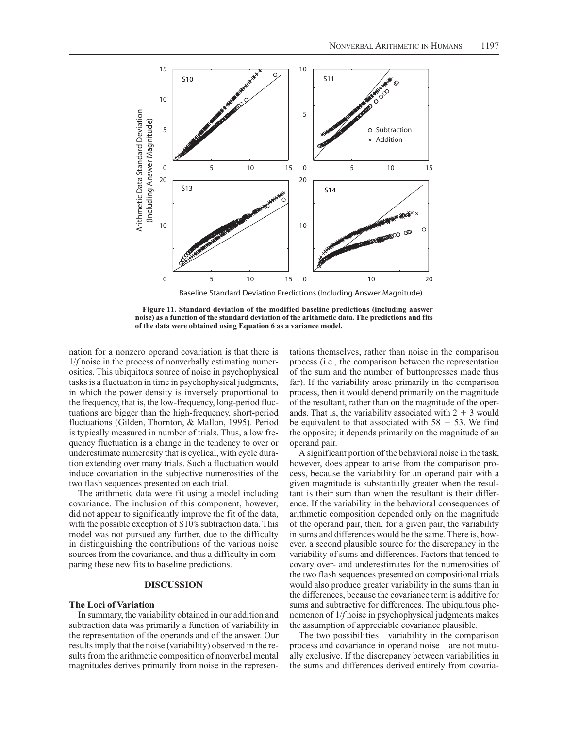

**Figure 11. Standard deviation of the modified baseline predictions (including answer noise) as a function of the standard deviation of the arithmetic data. The predictions and fits of the data were obtained using Equation 6 as a variance model.**

nation for a nonzero operand covariation is that there is 1/*f* noise in the process of nonverbally estimating numerosities. This ubiquitous source of noise in psychophysical tasks is a fluctuation in time in psychophysical judgments, in which the power density is inversely proportional to the frequency, that is, the low-frequency, long-period fluctuations are bigger than the high-frequency, short-period fluctuations (Gilden, Thornton, & Mallon, 1995). Period is typically measured in number of trials. Thus, a low frequency fluctuation is a change in the tendency to over or underestimate numerosity that is cyclical, with cycle duration extending over many trials. Such a fluctuation would induce covariation in the subjective numerosities of the two flash sequences presented on each trial.

The arithmetic data were fit using a model including covariance. The inclusion of this component, however, did not appear to significantly improve the fit of the data, with the possible exception of S10's subtraction data. This model was not pursued any further, due to the difficulty in distinguishing the contributions of the various noise sources from the covariance, and thus a difficulty in comparing these new fits to baseline predictions.

## **DISCUSSION**

## **The Loci of Variation**

In summary, the variability obtained in our addition and subtraction data was primarily a function of variability in the representation of the operands and of the answer. Our results imply that the noise (variability) observed in the results from the arithmetic composition of nonverbal mental magnitudes derives primarily from noise in the representations themselves, rather than noise in the comparison process (i.e., the comparison between the representation of the sum and the number of buttonpresses made thus far). If the variability arose primarily in the comparison process, then it would depend primarily on the magnitude of the resultant, rather than on the magnitude of the operands. That is, the variability associated with  $2 + 3$  would be equivalent to that associated with  $58 - 53$ . We find the opposite; it depends primarily on the magnitude of an operand pair.

A significant portion of the behavioral noise in the task, however, does appear to arise from the comparison process, because the variability for an operand pair with a given magnitude is substantially greater when the resultant is their sum than when the resultant is their difference. If the variability in the behavioral consequences of arithmetic composition depended only on the magnitude of the operand pair, then, for a given pair, the variability in sums and differences would be the same. There is, however, a second plausible source for the discrepancy in the variability of sums and differences. Factors that tended to covary over- and underestimates for the numerosities of the two flash sequences presented on compositional trials would also produce greater variability in the sums than in the differences, because the covariance term is additive for sums and subtractive for differences. The ubiquitous phenomenon of 1/*f* noise in psychophysical judgments makes the assumption of appreciable covariance plausible.

The two possibilities—variability in the comparison process and covariance in operand noise—are not mutually exclusive. If the discrepancy between variabilities in the sums and differences derived entirely from covaria-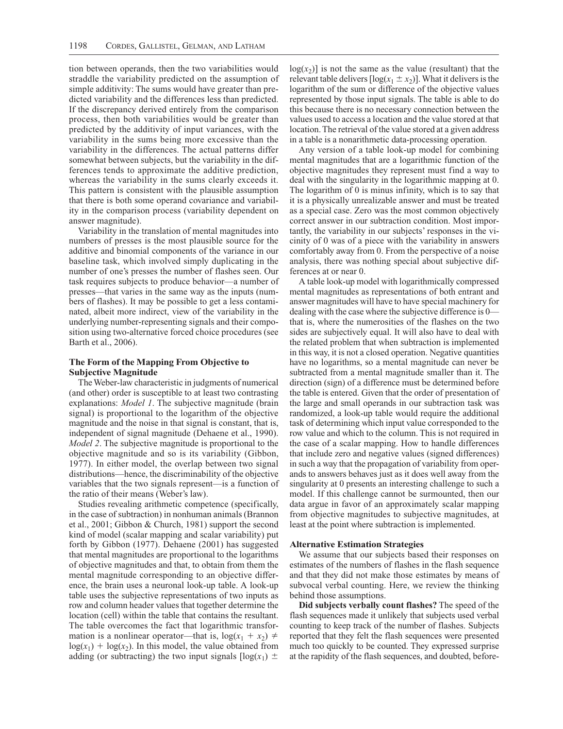tion between operands, then the two variabilities would straddle the variability predicted on the assumption of simple additivity: The sums would have greater than predicted variability and the differences less than predicted. If the discrepancy derived entirely from the comparison process, then both variabilities would be greater than predicted by the additivity of input variances, with the variability in the sums being more excessive than the variability in the differences. The actual patterns differ somewhat between subjects, but the variability in the differences tends to approximate the additive prediction, whereas the variability in the sums clearly exceeds it. This pattern is consistent with the plausible assumption that there is both some operand covariance and variability in the comparison process (variability dependent on answer magnitude).

Variability in the translation of mental magnitudes into numbers of presses is the most plausible source for the additive and binomial components of the variance in our baseline task, which involved simply duplicating in the number of one's presses the number of flashes seen. Our task requires subjects to produce behavior—a number of presses—that varies in the same way as the inputs (numbers of flashes). It may be possible to get a less contaminated, albeit more indirect, view of the variability in the underlying number-representing signals and their composition using two-alternative forced choice procedures (see Barth et al., 2006).

# **The Form of the Mapping From Objective to Subjective Magnitude**

The Weber-law characteristic in judgments of numerical (and other) order is susceptible to at least two contrasting explanations: *Model 1*. The subjective magnitude (brain signal) is proportional to the logarithm of the objective magnitude and the noise in that signal is constant, that is, independent of signal magnitude (Dehaene et al., 1990). *Model 2*. The subjective magnitude is proportional to the objective magnitude and so is its variability (Gibbon, 1977). In either model, the overlap between two signal distributions—hence, the discriminability of the objective variables that the two signals represent—is a function of the ratio of their means (Weber's law).

Studies revealing arithmetic competence (specifically, in the case of subtraction) in nonhuman animals (Brannon et al., 2001; Gibbon & Church, 1981) support the second kind of model (scalar mapping and scalar variability) put forth by Gibbon (1977). Dehaene (2001) has suggested that mental magnitudes are proportional to the logarithms of objective magnitudes and that, to obtain from them the mental magnitude corresponding to an objective difference, the brain uses a neuronal look-up table. A look-up table uses the subjective representations of two inputs as row and column header values that together determine the location (cell) within the table that contains the resultant. The table overcomes the fact that logarithmic transformation is a nonlinear operator—that is,  $log(x_1 + x_2) \neq$  $log(x_1) + log(x_2)$ . In this model, the value obtained from adding (or subtracting) the two input signals  $\lceil \log(x_1) \rceil$ 

 $log(x_2)$ ] is not the same as the value (resultant) that the relevant table delivers  $[\log(x_1 \pm x_2)]$ . What it delivers is the logarithm of the sum or difference of the objective values represented by those input signals. The table is able to do this because there is no necessary connection between the values used to access a location and the value stored at that location. The retrieval of the value stored at a given address in a table is a nonarithmetic data-processing operation.

Any version of a table look-up model for combining mental magnitudes that are a logarithmic function of the objective magnitudes they represent must find a way to deal with the singularity in the logarithmic mapping at 0. The logarithm of 0 is minus infinity, which is to say that it is a physically unrealizable answer and must be treated as a special case. Zero was the most common objectively correct answer in our subtraction condition. Most importantly, the variability in our subjects' responses in the vicinity of 0 was of a piece with the variability in answers comfortably away from 0. From the perspective of a noise analysis, there was nothing special about subjective differences at or near 0.

A table look-up model with logarithmically compressed mental magnitudes as representations of both entrant and answer magnitudes will have to have special machinery for dealing with the case where the subjective difference is 0 that is, where the numerosities of the flashes on the two sides are subjectively equal. It will also have to deal with the related problem that when subtraction is implemented in this way, it is not a closed operation. Negative quantities have no logarithms, so a mental magnitude can never be subtracted from a mental magnitude smaller than it. The direction (sign) of a difference must be determined before the table is entered. Given that the order of presentation of the large and small operands in our subtraction task was randomized, a look-up table would require the additional task of determining which input value corresponded to the row value and which to the column. This is not required in the case of a scalar mapping. How to handle differences that include zero and negative values (signed differences) in such a way that the propagation of variability from operands to answers behaves just as it does well away from the singularity at 0 presents an interesting challenge to such a model. If this challenge cannot be surmounted, then our data argue in favor of an approximately scalar mapping from objective magnitudes to subjective magnitudes, at least at the point where subtraction is implemented.

## **Alternative Estimation Strategies**

We assume that our subjects based their responses on estimates of the numbers of flashes in the flash sequence and that they did not make those estimates by means of subvocal verbal counting. Here, we review the thinking behind those assumptions.

**Did subjects verbally count flashes?** The speed of the flash sequences made it unlikely that subjects used verbal counting to keep track of the number of flashes. Subjects reported that they felt the flash sequences were presented much too quickly to be counted. They expressed surprise at the rapidity of the flash sequences, and doubted, before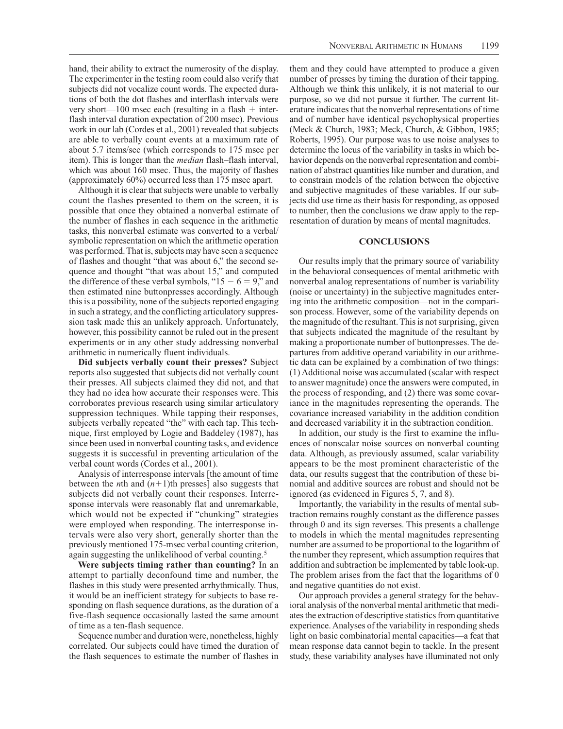hand, their ability to extract the numerosity of the display. The experimenter in the testing room could also verify that subjects did not vocalize count words. The expected durations of both the dot flashes and interflash intervals were very short—100 msec each (resulting in a flash  $+$  interflash interval duration expectation of 200 msec). Previous work in our lab (Cordes et al., 2001) revealed that subjects are able to verbally count events at a maximum rate of about 5.7 items/sec (which corresponds to 175 msec per item). This is longer than the *median* flash–flash interval, which was about 160 msec. Thus, the majority of flashes (approximately 60%) occurred less than 175 msec apart.

Although it is clear that subjects were unable to verbally count the flashes presented to them on the screen, it is possible that once they obtained a nonverbal estimate of the number of flashes in each sequence in the arithmetic tasks, this nonverbal estimate was converted to a verbal/ symbolic representation on which the arithmetic operation was performed. That is, subjects may have seen a sequence of flashes and thought "that was about 6," the second sequence and thought "that was about 15," and computed the difference of these verbal symbols, " $15 - 6 = 9$ ," and then estimated nine buttonpresses accordingly. Although this is a possibility, none of the subjects reported engaging in such a strategy, and the conflicting articulatory suppression task made this an unlikely approach. Unfortunately, however, this possibility cannot be ruled out in the present experiments or in any other study addressing nonverbal arithmetic in numerically fluent individuals.

**Did subjects verbally count their presses?** Subject reports also suggested that subjects did not verbally count their presses. All subjects claimed they did not, and that they had no idea how accurate their responses were. This corroborates previous research using similar articulatory suppression techniques. While tapping their responses, subjects verbally repeated "the" with each tap. This technique, first employed by Logie and Baddeley (1987), has since been used in nonverbal counting tasks, and evidence suggests it is successful in preventing articulation of the verbal count words (Cordes et al., 2001).

Analysis of interresponse intervals [the amount of time between the *n*th and  $(n+1)$ th presses] also suggests that subjects did not verbally count their responses. Interresponse intervals were reasonably flat and unremarkable, which would not be expected if "chunking" strategies were employed when responding. The interresponse intervals were also very short, generally shorter than the previously mentioned 175-msec verbal counting criterion, again suggesting the unlikelihood of verbal counting.<sup>5</sup>

**Were subjects timing rather than counting?** In an attempt to partially deconfound time and number, the flashes in this study were presented arrhythmically. Thus, it would be an inefficient strategy for subjects to base responding on flash sequence durations, as the duration of a five-flash sequence occasionally lasted the same amount of time as a ten-flash sequence.

Sequence number and duration were, nonetheless, highly correlated. Our subjects could have timed the duration of the flash sequences to estimate the number of flashes in them and they could have attempted to produce a given number of presses by timing the duration of their tapping. Although we think this unlikely, it is not material to our purpose, so we did not pursue it further. The current literature indicates that the nonverbal representations of time and of number have identical psychophysical properties (Meck & Church, 1983; Meck, Church, & Gibbon, 1985; Roberts, 1995). Our purpose was to use noise analyses to determine the locus of the variability in tasks in which behavior depends on the nonverbal representation and combination of abstract quantities like number and duration, and to constrain models of the relation between the objective and subjective magnitudes of these variables. If our subjects did use time as their basis for responding, as opposed to number, then the conclusions we draw apply to the representation of duration by means of mental magnitudes.

## **CONCLUSIONS**

Our results imply that the primary source of variability in the behavioral consequences of mental arithmetic with nonverbal analog representations of number is variability (noise or uncertainty) in the subjective magnitudes entering into the arithmetic composition—not in the comparison process. However, some of the variability depends on the magnitude of the resultant. This is not surprising, given that subjects indicated the magnitude of the resultant by making a proportionate number of buttonpresses. The departures from additive operand variability in our arithmetic data can be explained by a combination of two things: (1) Additional noise was accumulated (scalar with respect to answer magnitude) once the answers were computed, in the process of responding, and (2) there was some covariance in the magnitudes representing the operands. The covariance increased variability in the addition condition and decreased variability it in the subtraction condition.

In addition, our study is the first to examine the influences of nonscalar noise sources on nonverbal counting data. Although, as previously assumed, scalar variability appears to be the most prominent characteristic of the data, our results suggest that the contribution of these binomial and additive sources are robust and should not be ignored (as evidenced in Figures 5, 7, and 8).

Importantly, the variability in the results of mental subtraction remains roughly constant as the difference passes through 0 and its sign reverses. This presents a challenge to models in which the mental magnitudes representing number are assumed to be proportional to the logarithm of the number they represent, which assumption requires that addition and subtraction be implemented by table look-up. The problem arises from the fact that the logarithms of 0 and negative quantities do not exist.

Our approach provides a general strategy for the behavioral analysis of the nonverbal mental arithmetic that mediates the extraction of descriptive statistics from quantitative experience. Analyses of the variability in responding sheds light on basic combinatorial mental capacities—a feat that mean response data cannot begin to tackle. In the present study, these variability analyses have illuminated not only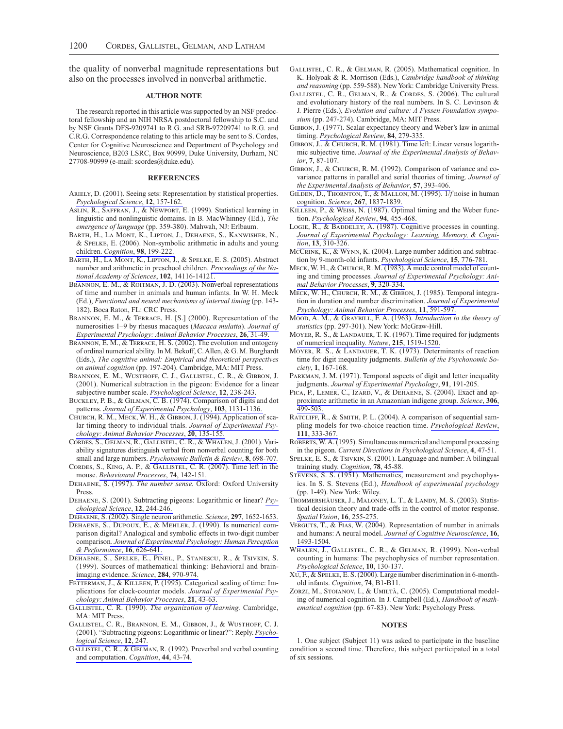the quality of nonverbal magnitude representations but also on the processes involved in nonverbal arithmetic.

#### **AUTHOR NOTE**

The research reported in this article was supported by an NSF predoctoral fellowship and an NIH NRSA postdoctoral fellowship to S.C. and by NSF Grants DFS-9209741 to R.G. and SRB-97209741 to R.G. and C.R.G. Correspondence relating to this article may be sent to S. Cordes, Center for Cognitive Neuroscience and Department of Psychology and Neuroscience, B203 LSRC, Box 90999, Duke University, Durham, NC 27708-90999 (e-mail: scordes@duke.edu).

#### **REFERENCES**

- ARIELY, D. (2001). Seeing sets: Representation by statistical properties. *Psychological Science*, **12**, 157-162.
- ASLIN, R., SAFFRAN, J., & NEWPORT, E. (1999). Statistical learning in linguistic and nonlinguistic domains. In B. MacWhinney (Ed.), *The emergence of language* (pp. 359-380). Mahwah, NJ: Erlbaum.
- Barth, H., La Mont, K., Lipton, J., Dehaene, S., Kanwisher, N., & Spelke, E. (2006). Non-symbolic arithmetic in adults and young children. *Cognition*, **98**, 199-222.
- BARTH, H., LA MONT, K., LIPTON, J., & SPELKE, E. S. (2005). Abstract number and arithmetic in preschool children. *Proceedings of the National Academy of Sciences*, **102**, 14116-14121.
- BRANNON, E. M., & ROITMAN, J. D. (2003). Nonverbal representations of time and number in animals and human infants. In W. H. Meck (Ed.), *Functional and neural mechanisms of interval timing* (pp. 143- 182). Boca Raton, FL: CRC Press.
- Brannon, E. M., & Terrace, H. [S.] (2000). Representation of the numerosities 1–9 by rhesus macaques (*Macaca mulatta*). *Journal of Experimental Psychology: Animal Behavior Processes*, **26**, 31-49.
- BRANNON, E. M., & TERRACE, H. S. (2002). The evolution and ontogeny of ordinal numerical ability. In M. Bekoff, C. Allen, & G. M. Burghardt (Eds.), *The cognitive animal: Empirical and theoretical perspectives on animal cognition* (pp. 197-204). Cambridge, MA: MIT Press.
- Brannon, E. M., Wusthoff, C. J., Gallistel, C. R., & Gibbon, J. (2001). Numerical subtraction in the pigeon: Evidence for a linear subjective number scale. *Psychological Science*, **12**, 238-243.
- BUCKLEY, P. B., & GILMAN, C. B. (1974). Comparison of digits and dot patterns. *Journal of Experimental Psychology*, **103**, 1131-1136.
- Church, R. M., Meck, W. H., & Gibbon, J. (1994). Application of scalar timing theory to individual trials. *Journal of Experimental Psychology: Animal Behavior Processes*, **20**, 135-155.
- Cordes, S., Gelman, R., Gallistel, C. R., & Whalen, J. (2001). Variability signatures distinguish verbal from nonverbal counting for both small and large numbers. *Psychonomic Bulletin & Review*, **8**, 698-707*.*
- Cordes, S., King, A. P., & Gallistel, C. R. (2007). Time left in the mouse. *Behavioural Processes*, **74**, 142-151.
- Dehaene, S. (1997). *The number sense.* Oxford: Oxford University Press.
- Dehaene, S. (2001). Subtracting pigeons: Logarithmic or linear? *Psychological Science*, **12**, 244-246.
- Dehaene, S. (2002). Single neuron arithmetic. *Science*, **297**, 1652-1653.
- Dehaene, S., Dupoux, E., & Mehler, J. (1990). Is numerical comparison digital? Analogical and symbolic effects in two-digit number comparison*. Journal of Experimental Psychology: Human Perception & Performance*, **16**, 626-641.
- Dehaene, S., Spelke, E., Pinel, P., Stanescu, R., & Tsivkin, S. (1999). Sources of mathematical thinking: Behavioral and brainimaging evidence. *Science*, **284**, 970-974.
- FETTERMAN, J., & KILLEEN, P. (1995). Categorical scaling of time: Implications for clock-counter models. *Journal of Experimental Psychology: Animal Behavior Processes*, **21**, 43-63.
- Gallistel, C. R. (1990). *The organization of learning.* Cambridge, MA: MIT Press.
- Gallistel, C. R., Brannon, E. M., Gibbon, J., & Wusthoff, C. J. (2001). "Subtracting pigeons: Logarithmic or linear?": Reply. *Psychological Science*, **12**, 247.
- GALLISTEL, C. R., & GELMAN, R. (1992). Preverbal and verbal counting and computation. *Cognition*, **44**, 43-74.
- Gallistel, C. R., & Gelman, R. (2005). Mathematical cognition. In K. Holyoak & R. Morrison (Eds.), *Cambridge handbook of thinking and reasoning* (pp. 559-588). New York: Cambridge University Press.
- Gallistel, C. R., Gelman, R., & Cordes, S. (2006). The cultural and evolutionary history of the real numbers. In S. C. Levinson & J. Pierre (Eds.), *Evolution and culture: A Fyssen Foundation symposium* (pp. 247-274). Cambridge, MA: MIT Press.
- GIBBON, J. (1977). Scalar expectancy theory and Weber's law in animal timing. *Psychological Review*, **84**, 279-335.
- GIBBON, J., & CHURCH, R. M. (1981). Time left: Linear versus logarithmic subjective time. *Journal of the Experimental Analysis of Behavior*, **7**, 87-107.
- GIBBON, J., & CHURCH, R. M. (1992). Comparison of variance and covariance patterns in parallel and serial theories of timing. *Journal of the Experimental Analysis of Behavior*, **57**, 393-406.
- Gilden, D., Thornton, T., & Mallon, M. (1995). 1/*f* noise in human cognition. *Science*, **267**, 1837-1839.
- KILLEEN, P., & WEISS, N. (1987). Optimal timing and the Weber function. *Psychological Review*, **94**, 455-468.
- LOGIE, R., & BADDELEY, A. (1987). Cognitive processes in counting. *Journal of Experimental Psychology: Learning, Memory, & Cognition*, **13**, 310-326.
- McCRINK, K., & WYNN, K. (2004). Large number addition and subtraction by 9-month-old infants. *Psychological Science*, **15**, 776-781.
- MECK, W. H., & Сниксн, R. M. (1983). A mode control model of counting and timing processes*. Journal of Experimental Psychology: Animal Behavior Processes*, **9**, 320-334.
- MECK, W. H., Сниксн, R. M., & GIBBON, J. (1985). Temporal integration in duration and number discrimination. *Journal of Experimental Psychology: Animal Behavior Processes*, **11**, 591-597.
- Mood, A. M., & Graybill, F. A. (1963). *Introduction to the theory of statistics* (pp. 297-301). New York: McGraw-Hill.
- MOYER, R. S., & LANDAUER, T. K. (1967). Time required for judgments of numerical inequality. *Nature*, **215**, 1519-1520.
- Moyer, R. S., & Landauer, T. K. (1973). Determinants of reaction time for digit inequality judgments. *Bulletin of the Psychonomic Society*, **1**, 167-168.
- PARKMAN, J. M. (1971). Temporal aspects of digit and letter inequality judgments. *Journal of Experimental Psychology*, **91**, 191-205.
- PICA, P., LEMER, C., IZARD, V., & DEHAENE, S. (2004). Exact and approximate arithmetic in an Amazonian indigene group. *Science*, **306**, 499-503.
- RATCLIFF, R., & SMITH, P. L. (2004). A comparison of sequential sampling models for two-choice reaction time. *Psychological Review*, **111**, 333-367.
- ROBERTS, W. A. (1995). Simultaneous numerical and temporal processing in the pigeon. *Current Directions in Psychological Science*, **4**, 47-51.
- Spelke, E. S., & Tsivkin, S. (2001). Language and number: A bilingual training study. *Cognition*, **78**, 45-88.
- STEVENS, S. S. (1951). Mathematics, measurement and psychophysics. In S. S. Stevens (Ed.), *Handbook of experimental psychology* (pp. 1-49). New York: Wiley.
- Trommershäuser, J., Maloney, L. T., & Landy, M. S. (2003). Statistical decision theory and trade-offs in the control of motor response. *Spatial Vision*, **16**, 255-275.
- VERGUTS, T., & FIAS, W. (2004). Representation of number in animals and humans: A neural model. *Journal of Cognitive Neuroscience*, **16**, 1493-1504.
- Whalen, J., Gallistel, C. R., & Gelman, R. (1999). Non-verbal counting in humans: The psychophysics of number representation. *Psychological Science*, **10**, 130-137.
- Xu, F., & Spelke, E. S. (2000). Large number discrimination in 6-monthold infants. *Cognition*, **74**, B1-B11.
- Zorzi, M., Stoianov, I., & Umiltà, C. (2005). Computational modeling of numerical cognition. In J. Campbell (Ed.), *Handbook of mathematical cognition* (pp. 67-83). New York: Psychology Press.

#### **NOTES**

1. One subject (Subject 11) was asked to participate in the baseline condition a second time. Therefore, this subject participated in a total of six sessions.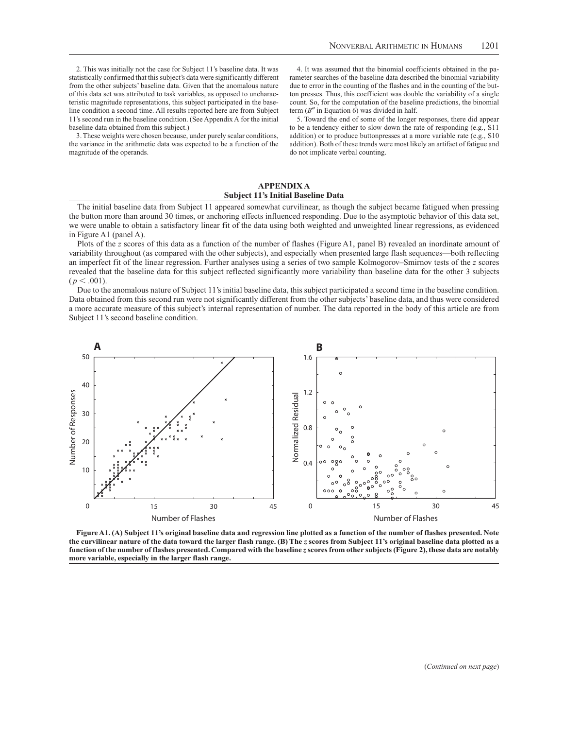2. This was initially not the case for Subject 11's baseline data. It was statistically confirmed that this subject's data were significantly different from the other subjects' baseline data. Given that the anomalous nature of this data set was attributed to task variables, as opposed to uncharacteristic magnitude representations, this subject participated in the baseline condition a second time. All results reported here are from Subject 11's second run in the baseline condition. (See Appendix A for the initial baseline data obtained from this subject.)

3. These weights were chosen because, under purely scalar conditions, the variance in the arithmetic data was expected to be a function of the magnitude of the operands.

4. It was assumed that the binomial coefficients obtained in the parameter searches of the baseline data described the binomial variability due to error in the counting of the flashes and in the counting of the button presses. Thus, this coefficient was double the variability of a single count. So, for the computation of the baseline predictions, the binomial term  $(B''$  in Equation 6) was divided in half.

5. Toward the end of some of the longer responses, there did appear to be a tendency either to slow down the rate of responding (e.g., S11 addition) or to produce buttonpresses at a more variable rate (e.g., S10 addition). Both of these trends were most likely an artifact of fatigue and do not implicate verbal counting.

# **APPENDIX A Subject 11's Initial Baseline Data**

The initial baseline data from Subject 11 appeared somewhat curvilinear, as though the subject became fatigued when pressing the button more than around 30 times, or anchoring effects influenced responding. Due to the asymptotic behavior of this data set, we were unable to obtain a satisfactory linear fit of the data using both weighted and unweighted linear regressions, as evidenced in Figure A1 (panel A).

Plots of the *z* scores of this data as a function of the number of flashes (Figure A1, panel B) revealed an inordinate amount of variability throughout (as compared with the other subjects), and especially when presented large flash sequences—both reflecting an imperfect fit of the linear regression. Further analyses using a series of two sample Kolmogorov–Smirnov tests of the *z* scores revealed that the baseline data for this subject reflected significantly more variability than baseline data for the other 3 subjects  $(p < .001)$ .

Due to the anomalous nature of Subject 11's initial baseline data, this subject participated a second time in the baseline condition. Data obtained from this second run were not significantly different from the other subjects' baseline data, and thus were considered a more accurate measure of this subject's internal representation of number. The data reported in the body of this article are from Subject 11's second baseline condition.



**Figure A1. (A) Subject 11's original baseline data and regression line plotted as a function of the number of flashes presented. Note the curvilinear nature of the data toward the larger flash range. (B) The** *z* **scores from Subject 11's original baseline data plotted as a function of the number of flashes presented. Compared with the baseline** *z***scores from other subjects (Figure 2), these data are notably more variable, especially in the larger flash range.**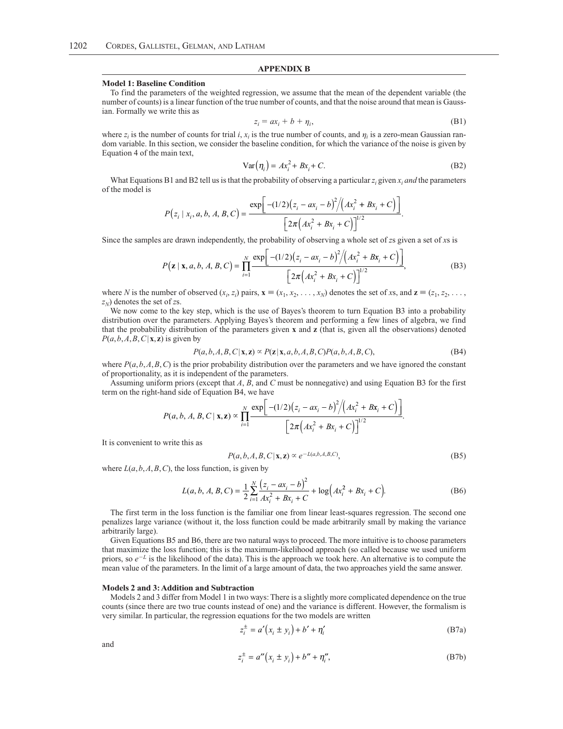#### **APPENDIX B**

### **Model 1: Baseline Condition**

To find the parameters of the weighted regression, we assume that the mean of the dependent variable (the number of counts) is a linear function of the true number of counts, and that the noise around that mean is Gaussian. Formally we write this as

$$
z_i = ax_i + b + \eta_i,\tag{B1}
$$

where  $z_i$  is the number of counts for trial *i*,  $x_i$  is the true number of counts, and  $\eta_i$  is a zero-mean Gaussian random variable. In this section, we consider the baseline condition, for which the variance of the noise is given by Equation 4 of the main text,

$$
Var(\eta_i) = Ax_i^2 + Bx_i + C.
$$
 (B2)

What Equations B1 and B2 tell us is that the probability of observing a particular  $z_i$  given  $x_i$  and the parameters of the model is

$$
P(z_i \mid x_i, a, b, A, B, C) = \frac{\exp\left[-(1/2)\left(z_i - ax_i - b\right)^2 / \left(Ax_i^2 + Bx_i + C\right)\right]}{\left[2\pi \left(Ax_i^2 + Bx_i + C\right)\right]^{1/2}}.
$$

Since the samples are drawn independently, the probability of observing a whole set of *z*s given a set of *x*s is

$$
P(\mathbf{z} \mid \mathbf{x}, a, b, A, B, C) = \prod_{i=1}^{N} \frac{\exp\left[-(1/2)\left(z_i - ax_i - b\right)^2 / \left(Ax_i^2 + Bx_i + C\right)\right]}{\left[2\pi \left(Ax_i^2 + Bx_i + C\right)\right]^{1/2}},
$$
(B3)

where *N* is the number of observed  $(x_i, z_i)$  pairs,  $\mathbf{x} \equiv (x_1, x_2, \dots, x_N)$  denotes the set of *x*s, and  $\mathbf{z} \equiv (z_1, z_2, \dots, z_N)$ *z<sub>N</sub>*) denotes the set of *z*s.

We now come to the key step, which is the use of Bayes's theorem to turn Equation B3 into a probability distribution over the parameters. Applying Bayes's theorem and performing a few lines of algebra, we find that the probability distribution of the parameters given **x** and **z** (that is, given all the observations) denoted  $P(a, b, A, B, C | \mathbf{x}, \mathbf{z})$  is given by

$$
P(a, b, A, B, C | \mathbf{x}, \mathbf{z}) \propto P(\mathbf{z} | \mathbf{x}, a, b, A, B, C) P(a, b, A, B, C),
$$
 (B4)

where  $P(a, b, A, B, C)$  is the prior probability distribution over the parameters and we have ignored the constant of proportionality, as it is independent of the parameters.

Assuming uniform priors (except that *A*, *B*, and *C* must be nonnegative) and using Equation B3 for the first term on the right-hand side of Equation B4, we have

$$
P(a, b, A, B, C | \mathbf{x}, \mathbf{z}) \propto \prod_{i=1}^{N} \frac{\exp \left[ -(1/2) (z_i - ax_i - b)^2 / (Ax_i^2 + Bx_i + C) \right]}{\left[ 2\pi (Ax_i^2 + Bx_i + C) \right]^{1/2}}.
$$

It is convenient to write this as

$$
P(a, b, A, B, C | \mathbf{x}, \mathbf{z}) \propto e^{-L(a, b, A, B, C)},
$$
\n(B5)

where  $L(a, b, A, B, C)$ , the loss function, is given by

$$
L(a, b, A, B, C) = \frac{1}{2} \sum_{i=1}^{N} \frac{(z_i - ax_i - b)^2}{Ax_i^2 + Bx_i + C} + \log(Ax_i^2 + Bx_i + C).
$$
 (B6)

The first term in the loss function is the familiar one from linear least-squares regression. The second one penalizes large variance (without it, the loss function could be made arbitrarily small by making the variance arbitrarily large).

Given Equations B5 and B6, there are two natural ways to proceed. The more intuitive is to choose parameters that maximize the loss function; this is the maximum-likelihood approach (so called because we used uniform priors, so  $e^{-L}$  is the likelihood of the data). This is the approach we took here. An alternative is to compute the mean value of the parameters. In the limit of a large amount of data, the two approaches yield the same answer.

#### **Models 2 and 3: Addition and Subtraction**

Models 2 and 3 differ from Model 1 in two ways: There is a slightly more complicated dependence on the true counts (since there are two true counts instead of one) and the variance is different. However, the formalism is very similar. In particular, the regression equations for the two models are written

$$
z_i^{\pm} = a'(x_i \pm y_i) + b' + \eta'_i
$$
 (B7a)

and

$$
z_i^{\pm} = a''(x_i \pm y_i) + b'' + \eta''_i,
$$
 (B7b)